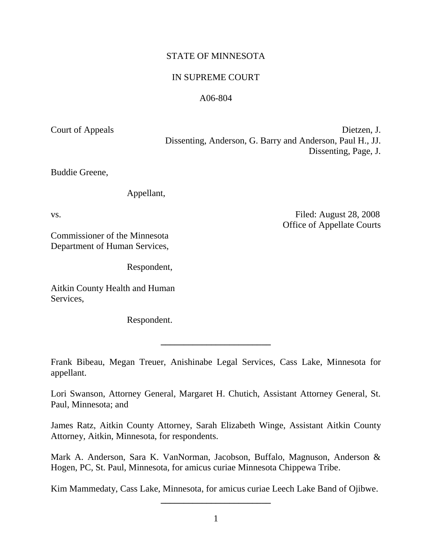# STATE OF MINNESOTA

# IN SUPREME COURT

## A06-804

Court of Appeals Dietzen, J. Dissenting, Anderson, G. Barry and Anderson, Paul H., JJ. Dissenting, Page, J.

Buddie Greene,

Appellant,

vs. Filed: August 28, 2008 Office of Appellate Courts

Commissioner of the Minnesota Department of Human Services,

Respondent,

Aitkin County Health and Human Services,

Respondent.

Frank Bibeau, Megan Treuer, Anishinabe Legal Services, Cass Lake, Minnesota for appellant.

**\_\_\_\_\_\_\_\_\_\_\_\_\_\_\_\_\_\_\_\_\_\_\_\_**

Lori Swanson, Attorney General, Margaret H. Chutich, Assistant Attorney General, St. Paul, Minnesota; and

James Ratz, Aitkin County Attorney, Sarah Elizabeth Winge, Assistant Aitkin County Attorney, Aitkin, Minnesota, for respondents.

Mark A. Anderson, Sara K. VanNorman, Jacobson, Buffalo, Magnuson, Anderson & Hogen, PC, St. Paul, Minnesota, for amicus curiae Minnesota Chippewa Tribe.

Kim Mammedaty, Cass Lake, Minnesota, for amicus curiae Leech Lake Band of Ojibwe. **\_\_\_\_\_\_\_\_\_\_\_\_\_\_\_\_\_\_\_\_\_\_\_\_**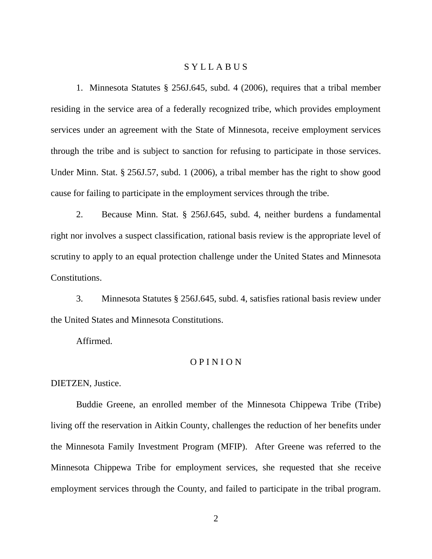## S Y L L A B U S

1. Minnesota Statutes § 256J.645, subd. 4 (2006), requires that a tribal member residing in the service area of a federally recognized tribe, which provides employment services under an agreement with the State of Minnesota, receive employment services through the tribe and is subject to sanction for refusing to participate in those services. Under Minn. Stat. § 256J.57, subd. 1 (2006), a tribal member has the right to show good cause for failing to participate in the employment services through the tribe.

2. Because Minn. Stat. § 256J.645, subd. 4, neither burdens a fundamental right nor involves a suspect classification, rational basis review is the appropriate level of scrutiny to apply to an equal protection challenge under the United States and Minnesota Constitutions.

3. Minnesota Statutes § 256J.645, subd. 4, satisfies rational basis review under the United States and Minnesota Constitutions.

Affirmed.

### O P I N I O N

DIETZEN, Justice.

Buddie Greene, an enrolled member of the Minnesota Chippewa Tribe (Tribe) living off the reservation in Aitkin County, challenges the reduction of her benefits under the Minnesota Family Investment Program (MFIP). After Greene was referred to the Minnesota Chippewa Tribe for employment services, she requested that she receive employment services through the County, and failed to participate in the tribal program.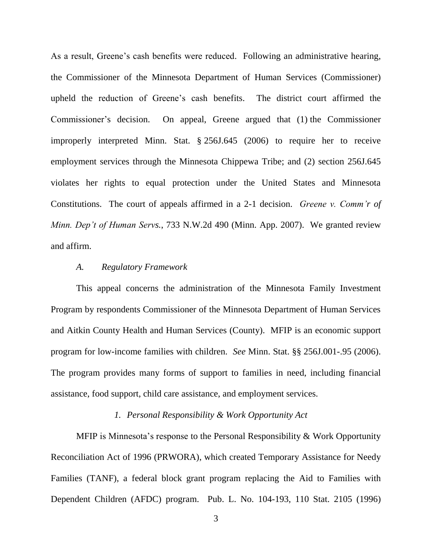As a result, Greene's cash benefits were reduced. Following an administrative hearing, the Commissioner of the Minnesota Department of Human Services (Commissioner) upheld the reduction of Greene"s cash benefits. The district court affirmed the Commissioner's decision. On appeal, Greene argued that (1) the Commissioner improperly interpreted Minn. Stat. § 256J.645 (2006) to require her to receive employment services through the Minnesota Chippewa Tribe; and (2) section 256J.645 violates her rights to equal protection under the United States and Minnesota Constitutions. The court of appeals affirmed in a 2-1 decision. *Greene v. Comm'r of Minn. Dep't of Human Servs.*, 733 N.W.2d 490 (Minn. App. 2007). We granted review and affirm.

#### *A. Regulatory Framework*

This appeal concerns the administration of the Minnesota Family Investment Program by respondents Commissioner of the Minnesota Department of Human Services and Aitkin County Health and Human Services (County). MFIP is an economic support program for low-income families with children. *See* Minn. Stat. §§ 256J.001-.95 (2006). The program provides many forms of support to families in need, including financial assistance, food support, child care assistance, and employment services.

### *1. Personal Responsibility & Work Opportunity Act*

MFIP is Minnesota's response to the Personal Responsibility  $&$  Work Opportunity Reconciliation Act of 1996 (PRWORA), which created Temporary Assistance for Needy Families (TANF), a federal block grant program replacing the Aid to Families with Dependent Children (AFDC) program. Pub. L. No. 104-193, 110 Stat. 2105 (1996)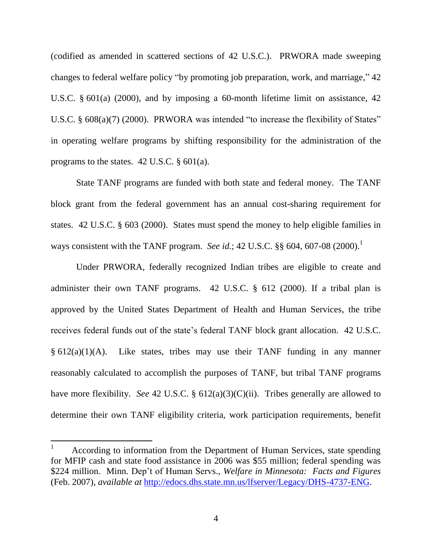(codified as amended in scattered sections of 42 U.S.C.). PRWORA made sweeping changes to federal welfare policy "by promoting job preparation, work, and marriage," 42 U.S.C. § 601(a) (2000), and by imposing a 60-month lifetime limit on assistance, 42 U.S.C. § 608(a)(7) (2000). PRWORA was intended "to increase the flexibility of States" in operating welfare programs by shifting responsibility for the administration of the programs to the states. 42 U.S.C. § 601(a).

State TANF programs are funded with both state and federal money. The TANF block grant from the federal government has an annual cost-sharing requirement for states. 42 U.S.C. § 603 (2000). States must spend the money to help eligible families in ways consistent with the TANF program. *See id.*; 42 U.S.C. §§ 604, 607-08 (2000).<sup>1</sup>

Under PRWORA, federally recognized Indian tribes are eligible to create and administer their own TANF programs. 42 U.S.C. § 612 (2000). If a tribal plan is approved by the United States Department of Health and Human Services, the tribe receives federal funds out of the state's federal TANF block grant allocation. 42 U.S.C.  $§ 612(a)(1)(A)$ . Like states, tribes may use their TANF funding in any manner reasonably calculated to accomplish the purposes of TANF, but tribal TANF programs have more flexibility. *See* 42 U.S.C. § 612(a)(3)(C)(ii). Tribes generally are allowed to determine their own TANF eligibility criteria, work participation requirements, benefit

 $\overline{a}$ 

<sup>1</sup> According to information from the Department of Human Services, state spending for MFIP cash and state food assistance in 2006 was \$55 million; federal spending was \$224 million. Minn. Dep"t of Human Servs., *Welfare in Minnesota: Facts and Figures* (Feb. 2007), *available at* [http://edocs.dhs.state.mn.us/lfserver/Legacy/DHS-4737-ENG.](http://edocs.dhs.state.mn.us/lfserver/Legacy/DHS-4737-ENG)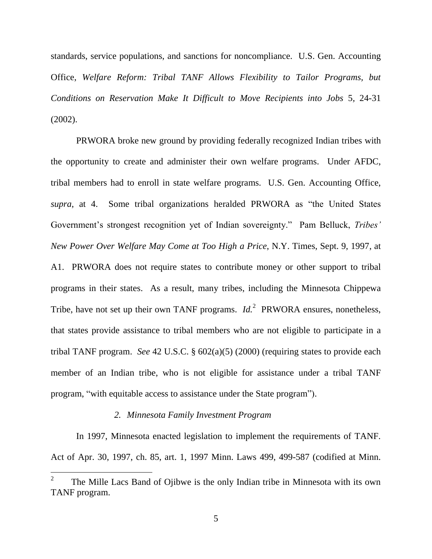standards, service populations, and sanctions for noncompliance. U.S. Gen. Accounting Office, *Welfare Reform: Tribal TANF Allows Flexibility to Tailor Programs, but Conditions on Reservation Make It Difficult to Move Recipients into Jobs* 5*,* 24-31 (2002).

PRWORA broke new ground by providing federally recognized Indian tribes with the opportunity to create and administer their own welfare programs. Under AFDC, tribal members had to enroll in state welfare programs. U.S. Gen. Accounting Office, *supra*, at 4. Some tribal organizations heralded PRWORA as "the United States Government's strongest recognition yet of Indian sovereignty." Pam Belluck, *Tribes' New Power Over Welfare May Come at Too High a Price*, N.Y. Times, Sept. 9, 1997, at A1. PRWORA does not require states to contribute money or other support to tribal programs in their states. As a result, many tribes, including the Minnesota Chippewa Tribe, have not set up their own TANF programs. *Id.*<sup>2</sup> PRWORA ensures, nonetheless, that states provide assistance to tribal members who are not eligible to participate in a tribal TANF program. *See* 42 U.S.C. § 602(a)(5) (2000) (requiring states to provide each member of an Indian tribe, who is not eligible for assistance under a tribal TANF program, "with equitable access to assistance under the State program").

#### *2. Minnesota Family Investment Program*

 $\overline{a}$ 

In 1997, Minnesota enacted legislation to implement the requirements of TANF. Act of Apr. 30, 1997, ch. 85, art. 1, 1997 Minn. Laws 499, 499-587 (codified at Minn.

<sup>2</sup> The Mille Lacs Band of Ojibwe is the only Indian tribe in Minnesota with its own TANF program.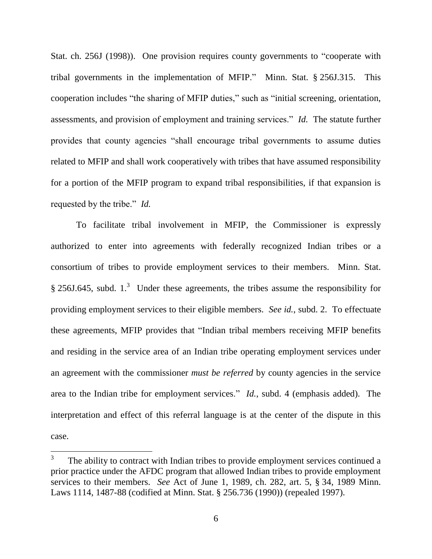Stat. ch. 256J (1998)). One provision requires county governments to "cooperate with tribal governments in the implementation of MFIP." Minn. Stat. § 256J.315. This cooperation includes "the sharing of MFIP duties," such as "initial screening, orientation, assessments, and provision of employment and training services." *Id.* The statute further provides that county agencies "shall encourage tribal governments to assume duties related to MFIP and shall work cooperatively with tribes that have assumed responsibility for a portion of the MFIP program to expand tribal responsibilities, if that expansion is requested by the tribe." *Id.* 

To facilitate tribal involvement in MFIP, the Commissioner is expressly authorized to enter into agreements with federally recognized Indian tribes or a consortium of tribes to provide employment services to their members. Minn. Stat.  $\S 256J.645$ , subd. 1.<sup>3</sup> Under these agreements, the tribes assume the responsibility for providing employment services to their eligible members. *See id.*, subd. 2. To effectuate these agreements, MFIP provides that "Indian tribal members receiving MFIP benefits and residing in the service area of an Indian tribe operating employment services under an agreement with the commissioner *must be referred* by county agencies in the service area to the Indian tribe for employment services." *Id.*, subd. 4 (emphasis added). The interpretation and effect of this referral language is at the center of the dispute in this case.

 $\overline{a}$ 

<sup>3</sup> The ability to contract with Indian tribes to provide employment services continued a prior practice under the AFDC program that allowed Indian tribes to provide employment services to their members. *See* Act of June 1, 1989, ch. 282, art. 5, § 34, 1989 Minn. Laws 1114, 1487-88 (codified at Minn. Stat. § 256.736 (1990)) (repealed 1997).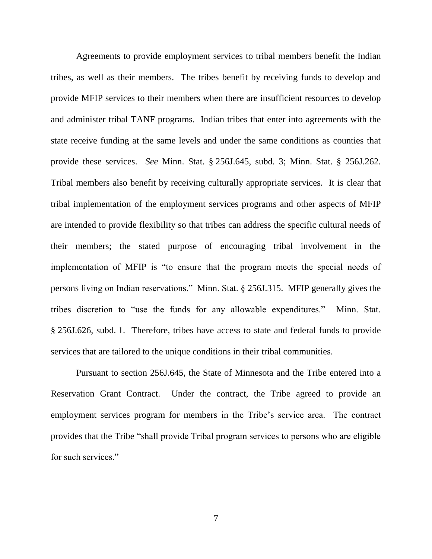Agreements to provide employment services to tribal members benefit the Indian tribes, as well as their members. The tribes benefit by receiving funds to develop and provide MFIP services to their members when there are insufficient resources to develop and administer tribal TANF programs. Indian tribes that enter into agreements with the state receive funding at the same levels and under the same conditions as counties that provide these services. *See* Minn. Stat. § 256J.645, subd. 3; Minn. Stat. § 256J.262. Tribal members also benefit by receiving culturally appropriate services. It is clear that tribal implementation of the employment services programs and other aspects of MFIP are intended to provide flexibility so that tribes can address the specific cultural needs of their members; the stated purpose of encouraging tribal involvement in the implementation of MFIP is "to ensure that the program meets the special needs of persons living on Indian reservations." Minn. Stat. § 256J.315. MFIP generally gives the tribes discretion to "use the funds for any allowable expenditures." Minn. Stat. § 256J.626, subd. 1. Therefore, tribes have access to state and federal funds to provide services that are tailored to the unique conditions in their tribal communities.

Pursuant to section 256J.645, the State of Minnesota and the Tribe entered into a Reservation Grant Contract. Under the contract, the Tribe agreed to provide an employment services program for members in the Tribe's service area. The contract provides that the Tribe "shall provide Tribal program services to persons who are eligible for such services."

7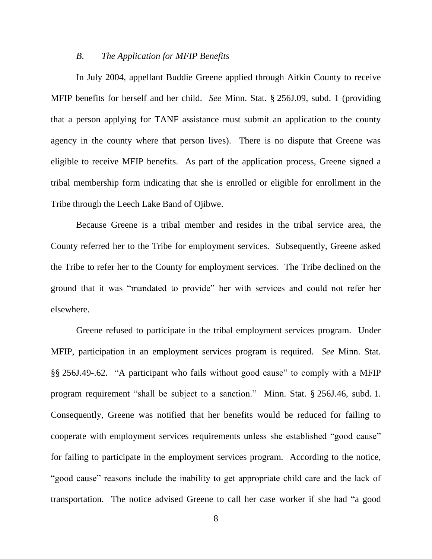### *B*. *The Application for MFIP Benefits*

In July 2004, appellant Buddie Greene applied through Aitkin County to receive MFIP benefits for herself and her child. *See* Minn. Stat. § 256J.09, subd. 1 (providing that a person applying for TANF assistance must submit an application to the county agency in the county where that person lives). There is no dispute that Greene was eligible to receive MFIP benefits. As part of the application process, Greene signed a tribal membership form indicating that she is enrolled or eligible for enrollment in the Tribe through the Leech Lake Band of Ojibwe.

Because Greene is a tribal member and resides in the tribal service area, the County referred her to the Tribe for employment services. Subsequently, Greene asked the Tribe to refer her to the County for employment services. The Tribe declined on the ground that it was "mandated to provide" her with services and could not refer her elsewhere.

Greene refused to participate in the tribal employment services program. Under MFIP, participation in an employment services program is required. *See* Minn. Stat. §§ 256J.49-.62. "A participant who fails without good cause" to comply with a MFIP program requirement "shall be subject to a sanction." Minn. Stat. § 256J.46, subd. 1. Consequently, Greene was notified that her benefits would be reduced for failing to cooperate with employment services requirements unless she established "good cause" for failing to participate in the employment services program. According to the notice, "good cause" reasons include the inability to get appropriate child care and the lack of transportation. The notice advised Greene to call her case worker if she had "a good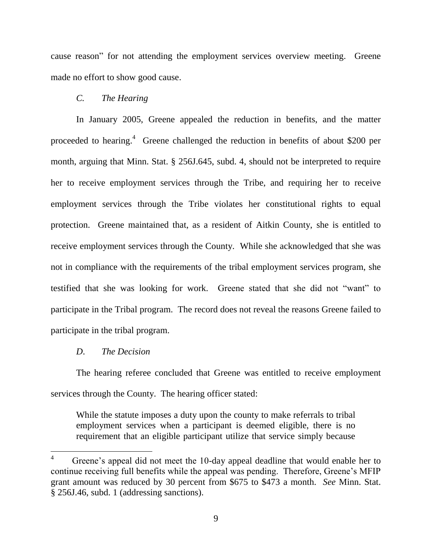cause reason" for not attending the employment services overview meeting. Greene made no effort to show good cause.

### *C. The Hearing*

In January 2005, Greene appealed the reduction in benefits, and the matter proceeded to hearing.<sup>4</sup> Greene challenged the reduction in benefits of about \$200 per month, arguing that Minn. Stat. § 256J.645, subd. 4, should not be interpreted to require her to receive employment services through the Tribe, and requiring her to receive employment services through the Tribe violates her constitutional rights to equal protection. Greene maintained that, as a resident of Aitkin County, she is entitled to receive employment services through the County. While she acknowledged that she was not in compliance with the requirements of the tribal employment services program, she testified that she was looking for work. Greene stated that she did not "want" to participate in the Tribal program. The record does not reveal the reasons Greene failed to participate in the tribal program.

### *D*. *The Decision*

 $\overline{a}$ 

The hearing referee concluded that Greene was entitled to receive employment services through the County. The hearing officer stated:

While the statute imposes a duty upon the county to make referrals to tribal employment services when a participant is deemed eligible, there is no requirement that an eligible participant utilize that service simply because

<sup>4</sup> Greene"s appeal did not meet the 10-day appeal deadline that would enable her to continue receiving full benefits while the appeal was pending. Therefore, Greene"s MFIP grant amount was reduced by 30 percent from \$675 to \$473 a month. *See* Minn. Stat. § 256J.46, subd. 1 (addressing sanctions).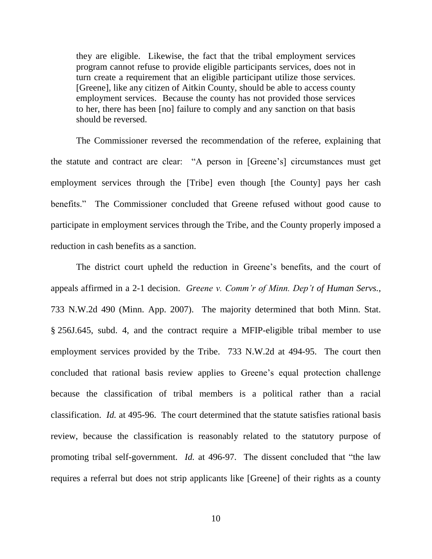they are eligible. Likewise, the fact that the tribal employment services program cannot refuse to provide eligible participants services, does not in turn create a requirement that an eligible participant utilize those services. [Greene], like any citizen of Aitkin County, should be able to access county employment services. Because the county has not provided those services to her, there has been [no] failure to comply and any sanction on that basis should be reversed.

The Commissioner reversed the recommendation of the referee, explaining that the statute and contract are clear: "A person in [Greene"s] circumstances must get employment services through the [Tribe] even though [the County] pays her cash benefits." The Commissioner concluded that Greene refused without good cause to participate in employment services through the Tribe, and the County properly imposed a reduction in cash benefits as a sanction.

The district court upheld the reduction in Greene"s benefits, and the court of appeals affirmed in a 2-1 decision. *Greene v. Comm'r of Minn. Dep't of Human Servs.*, 733 N.W.2d 490 (Minn. App. 2007). The majority determined that both Minn. Stat. § 256J.645, subd. 4, and the contract require a MFIP-eligible tribal member to use employment services provided by the Tribe. 733 N.W.2d at 494-95. The court then concluded that rational basis review applies to Greene"s equal protection challenge because the classification of tribal members is a political rather than a racial classification. *Id.* at 495-96. The court determined that the statute satisfies rational basis review, because the classification is reasonably related to the statutory purpose of promoting tribal self-government. *Id.* at 496-97. The dissent concluded that "the law requires a referral but does not strip applicants like [Greene] of their rights as a county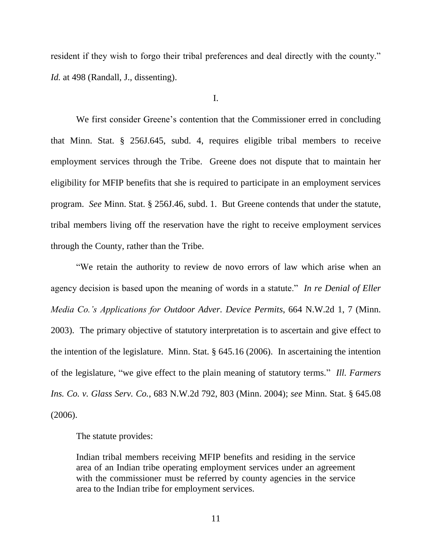resident if they wish to forgo their tribal preferences and deal directly with the county." Id. at 498 (Randall, J., dissenting).

I.

We first consider Greene's contention that the Commissioner erred in concluding that Minn. Stat. § 256J.645, subd. 4, requires eligible tribal members to receive employment services through the Tribe. Greene does not dispute that to maintain her eligibility for MFIP benefits that she is required to participate in an employment services program. *See* Minn. Stat. § 256J.46, subd. 1. But Greene contends that under the statute, tribal members living off the reservation have the right to receive employment services through the County, rather than the Tribe.

"We retain the authority to review de novo errors of law which arise when an agency decision is based upon the meaning of words in a statute." *In re Denial of Eller Media Co.'s Applications for Outdoor Adver. Device Permits*, 664 N.W.2d 1, 7 (Minn. 2003). The primary objective of statutory interpretation is to ascertain and give effect to the intention of the legislature. Minn. Stat. § 645.16 (2006). In ascertaining the intention of the legislature, "we give effect to the plain meaning of statutory terms." *Ill. Farmers Ins. Co. v. Glass Serv. Co.*, 683 N.W.2d 792, 803 (Minn. 2004); *see* Minn. Stat. § 645.08 (2006).

The statute provides:

Indian tribal members receiving MFIP benefits and residing in the service area of an Indian tribe operating employment services under an agreement with the commissioner must be referred by county agencies in the service area to the Indian tribe for employment services.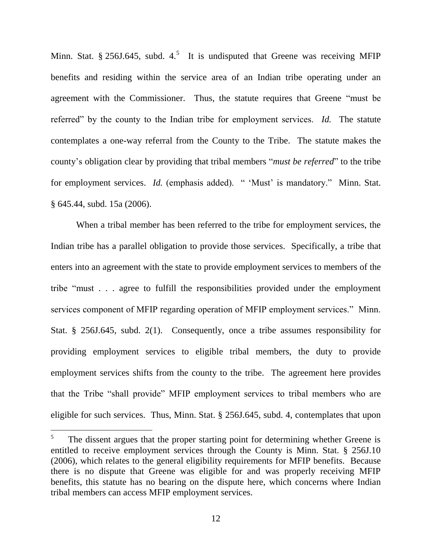Minn. Stat. § 256J.645, subd.  $4.5$  It is undisputed that Greene was receiving MFIP benefits and residing within the service area of an Indian tribe operating under an agreement with the Commissioner. Thus, the statute requires that Greene "must be referred" by the county to the Indian tribe for employment services. *Id.* The statute contemplates a one-way referral from the County to the Tribe. The statute makes the county"s obligation clear by providing that tribal members "*must be referred*" to the tribe for employment services. *Id.* (emphasis added). " 'Must' is mandatory." Minn. Stat. § 645.44, subd. 15a (2006).

When a tribal member has been referred to the tribe for employment services, the Indian tribe has a parallel obligation to provide those services. Specifically, a tribe that enters into an agreement with the state to provide employment services to members of the tribe "must . . . agree to fulfill the responsibilities provided under the employment services component of MFIP regarding operation of MFIP employment services." Minn. Stat. § 256J.645, subd. 2(1). Consequently, once a tribe assumes responsibility for providing employment services to eligible tribal members, the duty to provide employment services shifts from the county to the tribe. The agreement here provides that the Tribe "shall provide" MFIP employment services to tribal members who are eligible for such services. Thus, Minn. Stat. § 256J.645, subd. 4, contemplates that upon

 $\overline{a}$ 

<sup>5</sup> The dissent argues that the proper starting point for determining whether Greene is entitled to receive employment services through the County is Minn. Stat. § 256J.10 (2006), which relates to the general eligibility requirements for MFIP benefits. Because there is no dispute that Greene was eligible for and was properly receiving MFIP benefits, this statute has no bearing on the dispute here, which concerns where Indian tribal members can access MFIP employment services.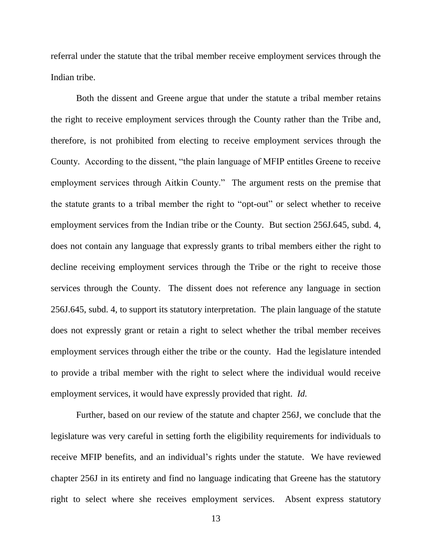referral under the statute that the tribal member receive employment services through the Indian tribe.

Both the dissent and Greene argue that under the statute a tribal member retains the right to receive employment services through the County rather than the Tribe and, therefore, is not prohibited from electing to receive employment services through the County. According to the dissent, "the plain language of MFIP entitles Greene to receive employment services through Aitkin County." The argument rests on the premise that the statute grants to a tribal member the right to "opt-out" or select whether to receive employment services from the Indian tribe or the County. But section 256J.645, subd. 4, does not contain any language that expressly grants to tribal members either the right to decline receiving employment services through the Tribe or the right to receive those services through the County. The dissent does not reference any language in section 256J.645, subd. 4, to support its statutory interpretation. The plain language of the statute does not expressly grant or retain a right to select whether the tribal member receives employment services through either the tribe or the county. Had the legislature intended to provide a tribal member with the right to select where the individual would receive employment services, it would have expressly provided that right. *Id.*

Further, based on our review of the statute and chapter 256J, we conclude that the legislature was very careful in setting forth the eligibility requirements for individuals to receive MFIP benefits, and an individual"s rights under the statute. We have reviewed chapter 256J in its entirety and find no language indicating that Greene has the statutory right to select where she receives employment services. Absent express statutory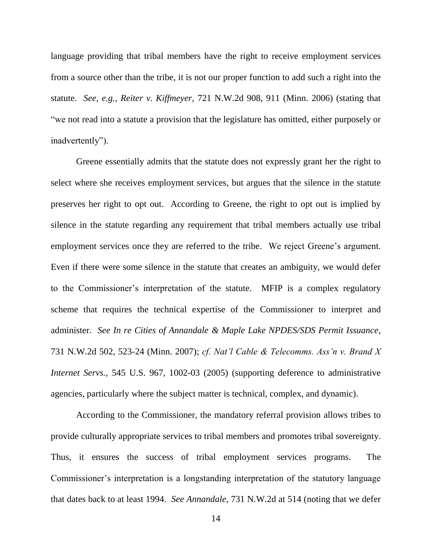language providing that tribal members have the right to receive employment services from a source other than the tribe, it is not our proper function to add such a right into the statute. *See, e.g.*, *Reiter v. Kiffmeyer*, 721 N.W.2d 908, 911 (Minn. 2006) (stating that "we not read into a statute a provision that the legislature has omitted, either purposely or inadvertently").

Greene essentially admits that the statute does not expressly grant her the right to select where she receives employment services, but argues that the silence in the statute preserves her right to opt out. According to Greene, the right to opt out is implied by silence in the statute regarding any requirement that tribal members actually use tribal employment services once they are referred to the tribe. We reject Greene"s argument. Even if there were some silence in the statute that creates an ambiguity, we would defer to the Commissioner"s interpretation of the statute. MFIP is a complex regulatory scheme that requires the technical expertise of the Commissioner to interpret and administer. *See In re Cities of Annandale & Maple Lake NPDES/SDS Permit Issuance*, 731 N.W.2d 502, 523-24 (Minn. 2007); *cf. Nat'l Cable & Telecomms. Ass'n v. Brand X Internet Servs.*, 545 U.S. 967, 1002-03 (2005) (supporting deference to administrative agencies, particularly where the subject matter is technical, complex, and dynamic).

According to the Commissioner, the mandatory referral provision allows tribes to provide culturally appropriate services to tribal members and promotes tribal sovereignty. Thus, it ensures the success of tribal employment services programs. The Commissioner's interpretation is a longstanding interpretation of the statutory language that dates back to at least 1994. *See Annandale*, 731 N.W.2d at 514 (noting that we defer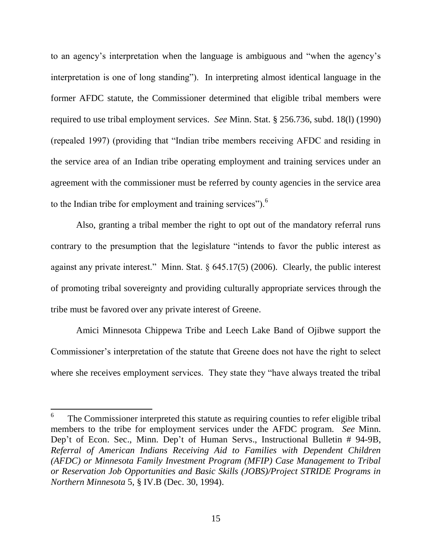to an agency"s interpretation when the language is ambiguous and "when the agency"s interpretation is one of long standing"). In interpreting almost identical language in the former AFDC statute, the Commissioner determined that eligible tribal members were required to use tribal employment services. *See* Minn. Stat. § 256.736, subd. 18(l) (1990) (repealed 1997) (providing that "Indian tribe members receiving AFDC and residing in the service area of an Indian tribe operating employment and training services under an agreement with the commissioner must be referred by county agencies in the service area to the Indian tribe for employment and training services"). $<sup>6</sup>$ </sup>

Also, granting a tribal member the right to opt out of the mandatory referral runs contrary to the presumption that the legislature "intends to favor the public interest as against any private interest." Minn. Stat. § 645.17(5) (2006). Clearly, the public interest of promoting tribal sovereignty and providing culturally appropriate services through the tribe must be favored over any private interest of Greene.

Amici Minnesota Chippewa Tribe and Leech Lake Band of Ojibwe support the Commissioner's interpretation of the statute that Greene does not have the right to select where she receives employment services. They state they "have always treated the tribal

 $\overline{a}$ 

<sup>6</sup> The Commissioner interpreted this statute as requiring counties to refer eligible tribal members to the tribe for employment services under the AFDC program. *See* Minn. Dep't of Econ. Sec., Minn. Dep't of Human Servs., Instructional Bulletin # 94-9B, *Referral of American Indians Receiving Aid to Families with Dependent Children (AFDC) or Minnesota Family Investment Program (MFIP) Case Management to Tribal or Reservation Job Opportunities and Basic Skills (JOBS)/Project STRIDE Programs in Northern Minnesota* 5, § IV.B (Dec. 30, 1994).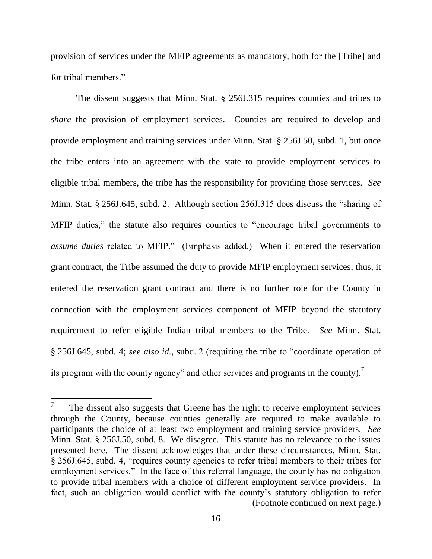provision of services under the MFIP agreements as mandatory, both for the [Tribe] and for tribal members."

The dissent suggests that Minn. Stat. § 256J.315 requires counties and tribes to *share* the provision of employment services. Counties are required to develop and provide employment and training services under Minn. Stat. § 256J.50, subd. 1, but once the tribe enters into an agreement with the state to provide employment services to eligible tribal members, the tribe has the responsibility for providing those services. *See* Minn. Stat. § 256J.645, subd. 2. Although section 256J.315 does discuss the "sharing of MFIP duties," the statute also requires counties to "encourage tribal governments to *assume duties* related to MFIP." (Emphasis added.) When it entered the reservation grant contract, the Tribe assumed the duty to provide MFIP employment services; thus, it entered the reservation grant contract and there is no further role for the County in connection with the employment services component of MFIP beyond the statutory requirement to refer eligible Indian tribal members to the Tribe. *See* Minn. Stat. § 256J.645, subd. 4; *see also id.*, subd. 2 (requiring the tribe to "coordinate operation of its program with the county agency" and other services and programs in the county).<sup>7</sup>

 $\overline{a}$ 

<sup>7</sup> The dissent also suggests that Greene has the right to receive employment services through the County, because counties generally are required to make available to participants the choice of at least two employment and training service providers. *See* Minn. Stat. § 256J.50, subd. 8. We disagree. This statute has no relevance to the issues presented here. The dissent acknowledges that under these circumstances, Minn. Stat. § 256J.645, subd. 4, "requires county agencies to refer tribal members to their tribes for employment services." In the face of this referral language, the county has no obligation to provide tribal members with a choice of different employment service providers. In fact, such an obligation would conflict with the county"s statutory obligation to refer (Footnote continued on next page.)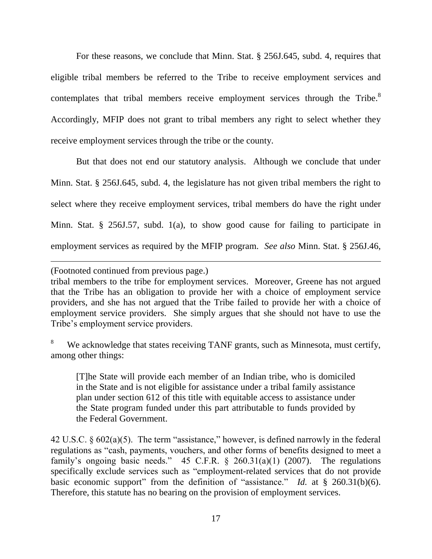For these reasons, we conclude that Minn. Stat. § 256J.645, subd. 4, requires that eligible tribal members be referred to the Tribe to receive employment services and contemplates that tribal members receive employment services through the Tribe.<sup>8</sup> Accordingly, MFIP does not grant to tribal members any right to select whether they receive employment services through the tribe or the county.

But that does not end our statutory analysis. Although we conclude that under Minn. Stat. § 256J.645, subd. 4, the legislature has not given tribal members the right to select where they receive employment services, tribal members do have the right under Minn. Stat. § 256J.57, subd. 1(a), to show good cause for failing to participate in employment services as required by the MFIP program. *See also* Minn. Stat. § 256J.46,

(Footnoted continued from previous page.)

 $\overline{a}$ 

tribal members to the tribe for employment services. Moreover, Greene has not argued that the Tribe has an obligation to provide her with a choice of employment service providers, and she has not argued that the Tribe failed to provide her with a choice of employment service providers. She simply argues that she should not have to use the Tribe"s employment service providers.

8 We acknowledge that states receiving TANF grants, such as Minnesota, must certify, among other things:

[T]he State will provide each member of an Indian tribe, who is domiciled in the State and is not eligible for assistance under a tribal family assistance plan under section 612 of this title with equitable access to assistance under the State program funded under this part attributable to funds provided by the Federal Government.

42 U.S.C. § 602(a)(5). The term "assistance," however, is defined narrowly in the federal regulations as "cash, payments, vouchers, and other forms of benefits designed to meet a family's ongoing basic needs." 45 C.F.R.  $\S$  260.31(a)(1) (2007). The regulations specifically exclude services such as "employment-related services that do not provide basic economic support" from the definition of "assistance." *Id.* at § 260.31(b)(6). Therefore, this statute has no bearing on the provision of employment services.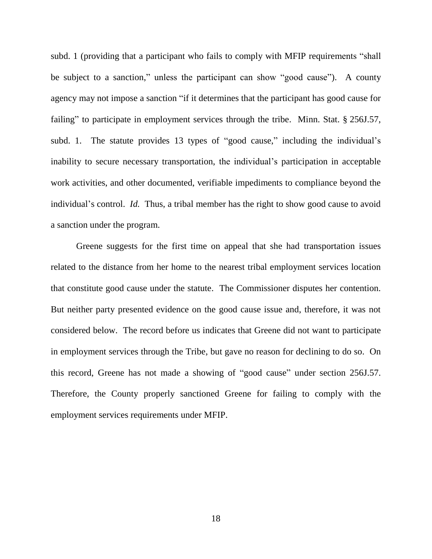subd. 1 (providing that a participant who fails to comply with MFIP requirements "shall be subject to a sanction," unless the participant can show "good cause"). A county agency may not impose a sanction "if it determines that the participant has good cause for failing" to participate in employment services through the tribe. Minn. Stat. § 256J.57, subd. 1. The statute provides 13 types of "good cause," including the individual's inability to secure necessary transportation, the individual"s participation in acceptable work activities, and other documented, verifiable impediments to compliance beyond the individual's control. *Id.* Thus, a tribal member has the right to show good cause to avoid a sanction under the program.

Greene suggests for the first time on appeal that she had transportation issues related to the distance from her home to the nearest tribal employment services location that constitute good cause under the statute. The Commissioner disputes her contention. But neither party presented evidence on the good cause issue and, therefore, it was not considered below. The record before us indicates that Greene did not want to participate in employment services through the Tribe, but gave no reason for declining to do so. On this record, Greene has not made a showing of "good cause" under section 256J.57. Therefore, the County properly sanctioned Greene for failing to comply with the employment services requirements under MFIP.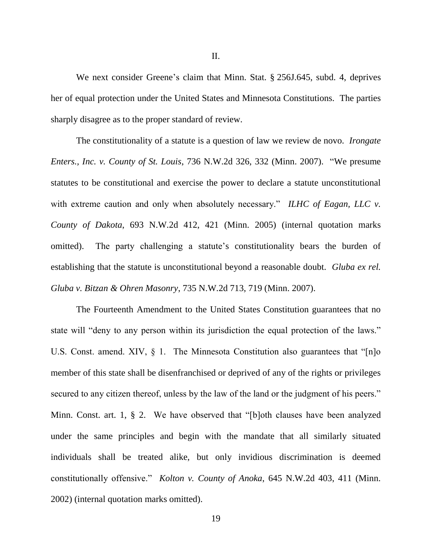We next consider Greene's claim that Minn. Stat. § 256J.645, subd. 4, deprives her of equal protection under the United States and Minnesota Constitutions. The parties sharply disagree as to the proper standard of review.

The constitutionality of a statute is a question of law we review de novo. *Irongate Enters., Inc. v. County of St. Louis*, 736 N.W.2d 326, 332 (Minn. 2007). "We presume statutes to be constitutional and exercise the power to declare a statute unconstitutional with extreme caution and only when absolutely necessary." *ILHC of Eagan, LLC v. County of Dakota*, 693 N.W.2d 412, 421 (Minn. 2005) (internal quotation marks omitted). The party challenging a statute's constitutionality bears the burden of establishing that the statute is unconstitutional beyond a reasonable doubt. *Gluba ex rel. Gluba v. Bitzan & Ohren Masonry*, 735 N.W.2d 713, 719 (Minn. 2007).

The Fourteenth Amendment to the United States Constitution guarantees that no state will "deny to any person within its jurisdiction the equal protection of the laws." U.S. Const. amend. XIV, § 1. The Minnesota Constitution also guarantees that "[n]o member of this state shall be disenfranchised or deprived of any of the rights or privileges secured to any citizen thereof, unless by the law of the land or the judgment of his peers." Minn. Const. art. 1, § 2. We have observed that "[b]oth clauses have been analyzed under the same principles and begin with the mandate that all similarly situated individuals shall be treated alike, but only invidious discrimination is deemed constitutionally offensive." *Kolton v. County of Anoka*, 645 N.W.2d 403, 411 (Minn. 2002) (internal quotation marks omitted).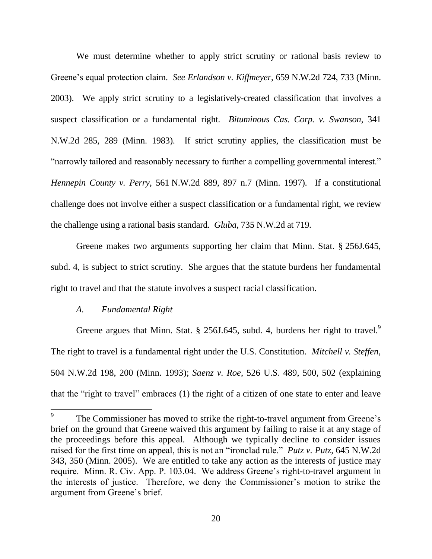We must determine whether to apply strict scrutiny or rational basis review to Greene"s equal protection claim. *See Erlandson v. Kiffmeyer*, 659 N.W.2d 724, 733 (Minn. 2003). We apply strict scrutiny to a legislatively-created classification that involves a suspect classification or a fundamental right. *Bituminous Cas. Corp. v. Swanson*, 341 N.W.2d 285, 289 (Minn. 1983). If strict scrutiny applies, the classification must be "narrowly tailored and reasonably necessary to further a compelling governmental interest." *Hennepin County v. Perry*, 561 N.W.2d 889, 897 n.7 (Minn. 1997). If a constitutional challenge does not involve either a suspect classification or a fundamental right, we review the challenge using a rational basis standard. *Gluba*, 735 N.W.2d at 719.

Greene makes two arguments supporting her claim that Minn. Stat. § 256J.645, subd. 4, is subject to strict scrutiny. She argues that the statute burdens her fundamental right to travel and that the statute involves a suspect racial classification.

### *A. Fundamental Right*

 $\overline{a}$ 

Greene argues that Minn. Stat. § 256J.645, subd. 4, burdens her right to travel.<sup>9</sup> The right to travel is a fundamental right under the U.S. Constitution. *Mitchell v. Steffen*, 504 N.W.2d 198, 200 (Minn. 1993); *Saenz v. Roe*, 526 U.S. 489, 500, 502 (explaining that the "right to travel" embraces (1) the right of a citizen of one state to enter and leave

<sup>9</sup> The Commissioner has moved to strike the right-to-travel argument from Greene"s brief on the ground that Greene waived this argument by failing to raise it at any stage of the proceedings before this appeal. Although we typically decline to consider issues raised for the first time on appeal, this is not an "ironclad rule." *Putz v. Putz*, 645 N.W.2d 343, 350 (Minn. 2005). We are entitled to take any action as the interests of justice may require. Minn. R. Civ. App. P. 103.04. We address Greene"s right-to-travel argument in the interests of justice. Therefore, we deny the Commissioner"s motion to strike the argument from Greene"s brief.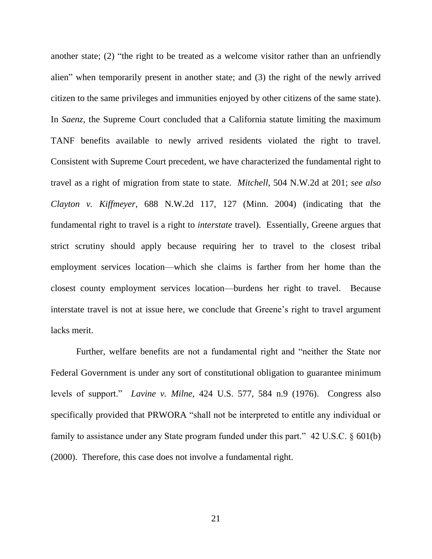another state; (2) "the right to be treated as a welcome visitor rather than an unfriendly alien" when temporarily present in another state; and (3) the right of the newly arrived citizen to the same privileges and immunities enjoyed by other citizens of the same state). In *Saenz*, the Supreme Court concluded that a California statute limiting the maximum TANF benefits available to newly arrived residents violated the right to travel. Consistent with Supreme Court precedent, we have characterized the fundamental right to travel as a right of migration from state to state. *Mitchell*, 504 N.W.2d at 201; *see also Clayton v. Kiffmeyer*, 688 N.W.2d 117, 127 (Minn. 2004) (indicating that the fundamental right to travel is a right to *interstate* travel). Essentially, Greene argues that strict scrutiny should apply because requiring her to travel to the closest tribal employment services location—which she claims is farther from her home than the closest county employment services location—burdens her right to travel. Because interstate travel is not at issue here, we conclude that Greene's right to travel argument lacks merit.

Further, welfare benefits are not a fundamental right and "neither the State nor Federal Government is under any sort of constitutional obligation to guarantee minimum levels of support." *Lavine v. Milne*, 424 U.S. 577, 584 n.9 (1976). Congress also specifically provided that PRWORA "shall not be interpreted to entitle any individual or family to assistance under any State program funded under this part." 42 U.S.C. § 601(b) (2000). Therefore, this case does not involve a fundamental right.

21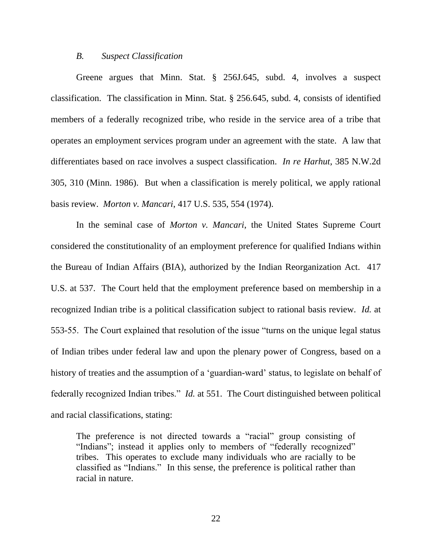#### *B. Suspect Classification*

Greene argues that Minn. Stat. § 256J.645, subd. 4, involves a suspect classification. The classification in Minn. Stat. § 256.645, subd. 4, consists of identified members of a federally recognized tribe, who reside in the service area of a tribe that operates an employment services program under an agreement with the state. A law that differentiates based on race involves a suspect classification. *In re Harhut*, 385 N.W.2d 305, 310 (Minn. 1986). But when a classification is merely political, we apply rational basis review. *Morton v. Mancari*, 417 U.S. 535, 554 (1974).

In the seminal case of *Morton v. Mancari*, the United States Supreme Court considered the constitutionality of an employment preference for qualified Indians within the Bureau of Indian Affairs (BIA), authorized by the Indian Reorganization Act. 417 U.S. at 537. The Court held that the employment preference based on membership in a recognized Indian tribe is a political classification subject to rational basis review. *Id.* at 553-55. The Court explained that resolution of the issue "turns on the unique legal status of Indian tribes under federal law and upon the plenary power of Congress, based on a history of treaties and the assumption of a 'guardian-ward' status, to legislate on behalf of federally recognized Indian tribes." *Id.* at 551. The Court distinguished between political and racial classifications, stating:

The preference is not directed towards a "racial" group consisting of "Indians"; instead it applies only to members of "federally recognized" tribes. This operates to exclude many individuals who are racially to be classified as "Indians." In this sense, the preference is political rather than racial in nature.

22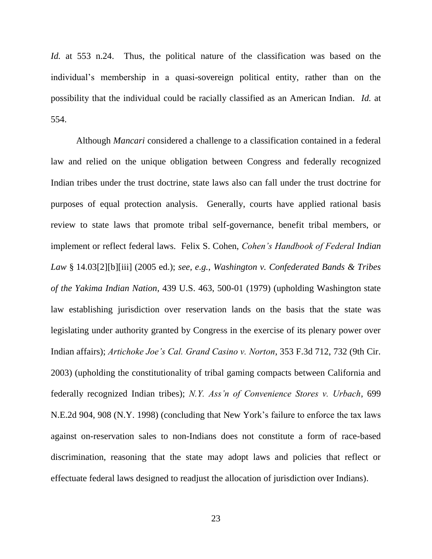*Id.* at 553 n.24. Thus, the political nature of the classification was based on the individual"s membership in a quasi-sovereign political entity, rather than on the possibility that the individual could be racially classified as an American Indian. *Id.* at 554.

Although *Mancari* considered a challenge to a classification contained in a federal law and relied on the unique obligation between Congress and federally recognized Indian tribes under the trust doctrine, state laws also can fall under the trust doctrine for purposes of equal protection analysis. Generally, courts have applied rational basis review to state laws that promote tribal self-governance, benefit tribal members, or implement or reflect federal laws. Felix S. Cohen, *Cohen's Handbook of Federal Indian Law* § 14.03[2][b][iii] (2005 ed.); *see, e.g.*, *Washington v. Confederated Bands & Tribes of the Yakima Indian Nation*, 439 U.S. 463, 500-01 (1979) (upholding Washington state law establishing jurisdiction over reservation lands on the basis that the state was legislating under authority granted by Congress in the exercise of its plenary power over Indian affairs); *Artichoke Joe's Cal. Grand Casino v. Norton*, 353 F.3d 712, 732 (9th Cir. 2003) (upholding the constitutionality of tribal gaming compacts between California and federally recognized Indian tribes); *N.Y. Ass'n of Convenience Stores v. Urbach*, 699 N.E.2d 904, 908 (N.Y. 1998) (concluding that New York"s failure to enforce the tax laws against on-reservation sales to non-Indians does not constitute a form of race-based discrimination, reasoning that the state may adopt laws and policies that reflect or effectuate federal laws designed to readjust the allocation of jurisdiction over Indians).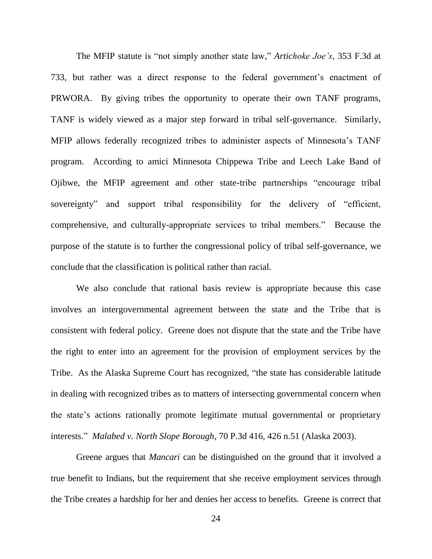The MFIP statute is "not simply another state law," *Artichoke Joe's*, 353 F.3d at 733, but rather was a direct response to the federal government"s enactment of PRWORA. By giving tribes the opportunity to operate their own TANF programs, TANF is widely viewed as a major step forward in tribal self-governance. Similarly, MFIP allows federally recognized tribes to administer aspects of Minnesota"s TANF program. According to amici Minnesota Chippewa Tribe and Leech Lake Band of Ojibwe, the MFIP agreement and other state-tribe partnerships "encourage tribal sovereignty" and support tribal responsibility for the delivery of "efficient, comprehensive, and culturally-appropriate services to tribal members." Because the purpose of the statute is to further the congressional policy of tribal self-governance, we conclude that the classification is political rather than racial.

We also conclude that rational basis review is appropriate because this case involves an intergovernmental agreement between the state and the Tribe that is consistent with federal policy. Greene does not dispute that the state and the Tribe have the right to enter into an agreement for the provision of employment services by the Tribe. As the Alaska Supreme Court has recognized, "the state has considerable latitude in dealing with recognized tribes as to matters of intersecting governmental concern when the state"s actions rationally promote legitimate mutual governmental or proprietary interests." *Malabed v. North Slope Borough*, 70 P.3d 416, 426 n.51 (Alaska 2003).

Greene argues that *Mancari* can be distinguished on the ground that it involved a true benefit to Indians, but the requirement that she receive employment services through the Tribe creates a hardship for her and denies her access to benefits. Greene is correct that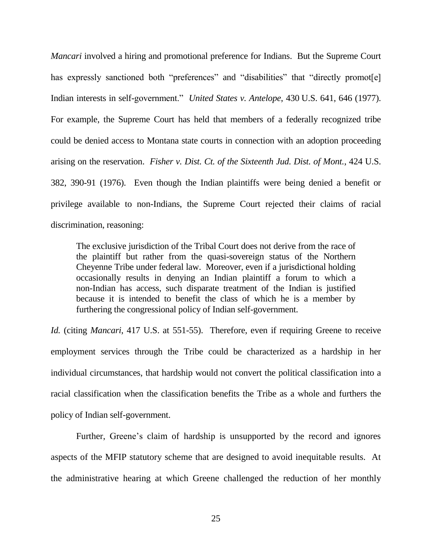*Mancari* involved a hiring and promotional preference for Indians. But the Supreme Court has expressly sanctioned both "preferences" and "disabilities" that "directly promotel Indian interests in self-government." *United States v. Antelope*, 430 U.S. 641, 646 (1977). For example, the Supreme Court has held that members of a federally recognized tribe could be denied access to Montana state courts in connection with an adoption proceeding arising on the reservation. *Fisher v. Dist. Ct. of the Sixteenth Jud. Dist. of Mont.*, 424 U.S. 382, 390-91 (1976). Even though the Indian plaintiffs were being denied a benefit or privilege available to non-Indians, the Supreme Court rejected their claims of racial discrimination, reasoning:

The exclusive jurisdiction of the Tribal Court does not derive from the race of the plaintiff but rather from the quasi-sovereign status of the Northern Cheyenne Tribe under federal law. Moreover, even if a jurisdictional holding occasionally results in denying an Indian plaintiff a forum to which a non-Indian has access, such disparate treatment of the Indian is justified because it is intended to benefit the class of which he is a member by furthering the congressional policy of Indian self-government.

*Id.* (citing *Mancari*, 417 U.S. at 551-55). Therefore, even if requiring Greene to receive employment services through the Tribe could be characterized as a hardship in her individual circumstances, that hardship would not convert the political classification into a racial classification when the classification benefits the Tribe as a whole and furthers the policy of Indian self-government.

Further, Greene's claim of hardship is unsupported by the record and ignores aspects of the MFIP statutory scheme that are designed to avoid inequitable results. At the administrative hearing at which Greene challenged the reduction of her monthly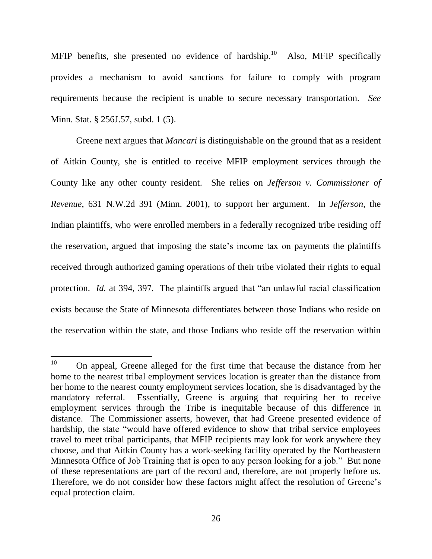MFIP benefits, she presented no evidence of hardship.<sup>10</sup> Also, MFIP specifically provides a mechanism to avoid sanctions for failure to comply with program requirements because the recipient is unable to secure necessary transportation. *See* Minn. Stat. § 256J.57, subd. 1 (5).

Greene next argues that *Mancari* is distinguishable on the ground that as a resident of Aitkin County, she is entitled to receive MFIP employment services through the County like any other county resident. She relies on *Jefferson v. Commissioner of Revenue*, 631 N.W.2d 391 (Minn. 2001), to support her argument. In *Jefferson*, the Indian plaintiffs, who were enrolled members in a federally recognized tribe residing off the reservation, argued that imposing the state"s income tax on payments the plaintiffs received through authorized gaming operations of their tribe violated their rights to equal protection. *Id.* at 394, 397. The plaintiffs argued that "an unlawful racial classification exists because the State of Minnesota differentiates between those Indians who reside on the reservation within the state, and those Indians who reside off the reservation within

<sup>10</sup> <sup>10</sup> On appeal, Greene alleged for the first time that because the distance from her home to the nearest tribal employment services location is greater than the distance from her home to the nearest county employment services location, she is disadvantaged by the mandatory referral. Essentially, Greene is arguing that requiring her to receive employment services through the Tribe is inequitable because of this difference in distance. The Commissioner asserts, however, that had Greene presented evidence of hardship, the state "would have offered evidence to show that tribal service employees travel to meet tribal participants, that MFIP recipients may look for work anywhere they choose, and that Aitkin County has a work-seeking facility operated by the Northeastern Minnesota Office of Job Training that is open to any person looking for a job." But none of these representations are part of the record and, therefore, are not properly before us. Therefore, we do not consider how these factors might affect the resolution of Greene"s equal protection claim.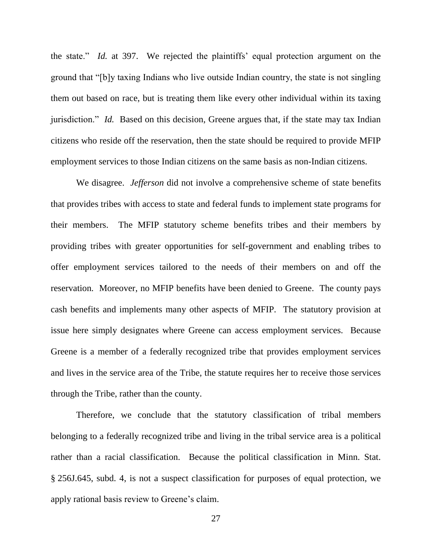the state." *Id.* at 397. We rejected the plaintiffs' equal protection argument on the ground that "[b]y taxing Indians who live outside Indian country, the state is not singling them out based on race, but is treating them like every other individual within its taxing jurisdiction." *Id.* Based on this decision, Greene argues that, if the state may tax Indian citizens who reside off the reservation, then the state should be required to provide MFIP employment services to those Indian citizens on the same basis as non-Indian citizens.

We disagree. *Jefferson* did not involve a comprehensive scheme of state benefits that provides tribes with access to state and federal funds to implement state programs for their members. The MFIP statutory scheme benefits tribes and their members by providing tribes with greater opportunities for self-government and enabling tribes to offer employment services tailored to the needs of their members on and off the reservation. Moreover, no MFIP benefits have been denied to Greene. The county pays cash benefits and implements many other aspects of MFIP. The statutory provision at issue here simply designates where Greene can access employment services. Because Greene is a member of a federally recognized tribe that provides employment services and lives in the service area of the Tribe, the statute requires her to receive those services through the Tribe, rather than the county.

Therefore, we conclude that the statutory classification of tribal members belonging to a federally recognized tribe and living in the tribal service area is a political rather than a racial classification. Because the political classification in Minn. Stat. § 256J.645, subd. 4, is not a suspect classification for purposes of equal protection, we apply rational basis review to Greene"s claim.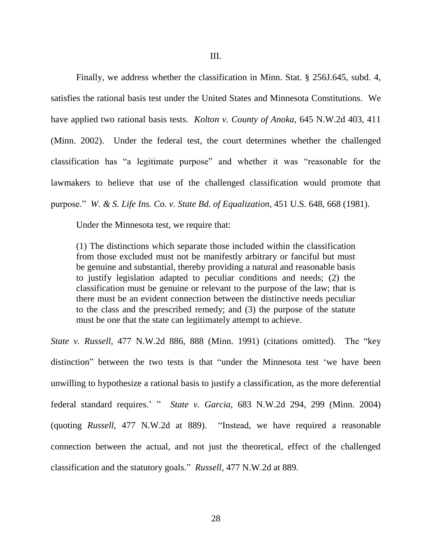Finally, we address whether the classification in Minn. Stat. § 256J.645, subd. 4, satisfies the rational basis test under the United States and Minnesota Constitutions. We have applied two rational basis tests. *Kolton v. County of Anoka*, 645 N.W.2d 403, 411 (Minn. 2002). Under the federal test, the court determines whether the challenged classification has "a legitimate purpose" and whether it was "reasonable for the lawmakers to believe that use of the challenged classification would promote that purpose." *W. & S. Life Ins. Co. v. State Bd. of Equalization*, 451 U.S. 648, 668 (1981).

Under the Minnesota test, we require that:

(1) The distinctions which separate those included within the classification from those excluded must not be manifestly arbitrary or fanciful but must be genuine and substantial, thereby providing a natural and reasonable basis to justify legislation adapted to peculiar conditions and needs; (2) the classification must be genuine or relevant to the purpose of the law; that is there must be an evident connection between the distinctive needs peculiar to the class and the prescribed remedy; and (3) the purpose of the statute must be one that the state can legitimately attempt to achieve.

*State v. Russell*, 477 N.W.2d 886, 888 (Minn. 1991) (citations omitted). The "key distinction" between the two tests is that "under the Minnesota test "we have been unwilling to hypothesize a rational basis to justify a classification, as the more deferential federal standard requires." " *State v. Garcia*, 683 N.W.2d 294, 299 (Minn. 2004) (quoting *Russell*, 477 N.W.2d at 889). "Instead, we have required a reasonable connection between the actual, and not just the theoretical, effect of the challenged classification and the statutory goals." *Russell*, 477 N.W.2d at 889.

28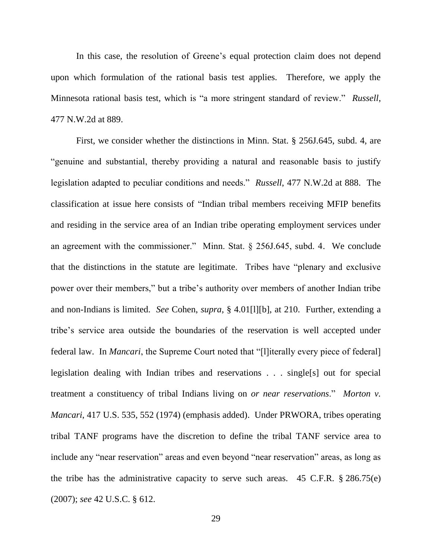In this case, the resolution of Greene's equal protection claim does not depend upon which formulation of the rational basis test applies. Therefore, we apply the Minnesota rational basis test, which is "a more stringent standard of review." *Russell*, 477 N.W.2d at 889.

First, we consider whether the distinctions in Minn. Stat. § 256J.645, subd. 4, are "genuine and substantial, thereby providing a natural and reasonable basis to justify legislation adapted to peculiar conditions and needs." *Russell*, 477 N.W.2d at 888. The classification at issue here consists of "Indian tribal members receiving MFIP benefits and residing in the service area of an Indian tribe operating employment services under an agreement with the commissioner." Minn. Stat. § 256J.645, subd. 4. We conclude that the distinctions in the statute are legitimate. Tribes have "plenary and exclusive power over their members," but a tribe"s authority over members of another Indian tribe and non-Indians is limited. *See* Cohen, *supra*, § 4.01[l][b], at 210. Further, extending a tribe"s service area outside the boundaries of the reservation is well accepted under federal law. In *Mancari*, the Supreme Court noted that "[l]iterally every piece of federal] legislation dealing with Indian tribes and reservations . . . single[s] out for special treatment a constituency of tribal Indians living on *or near reservations*." *Morton v. Mancari*, 417 U.S. 535, 552 (1974) (emphasis added). Under PRWORA, tribes operating tribal TANF programs have the discretion to define the tribal TANF service area to include any "near reservation" areas and even beyond "near reservation" areas, as long as the tribe has the administrative capacity to serve such areas. 45 C.F.R. § 286.75(e) (2007); *see* 42 U.S.C. § 612.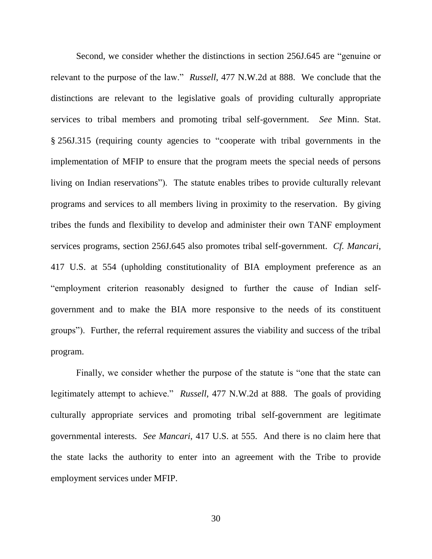Second, we consider whether the distinctions in section 256J.645 are "genuine or relevant to the purpose of the law." *Russell*, 477 N.W.2d at 888. We conclude that the distinctions are relevant to the legislative goals of providing culturally appropriate services to tribal members and promoting tribal self-government. *See* Minn. Stat. § 256J.315 (requiring county agencies to "cooperate with tribal governments in the implementation of MFIP to ensure that the program meets the special needs of persons living on Indian reservations"). The statute enables tribes to provide culturally relevant programs and services to all members living in proximity to the reservation. By giving tribes the funds and flexibility to develop and administer their own TANF employment services programs, section 256J.645 also promotes tribal self-government. *Cf. Mancari*, 417 U.S. at 554 (upholding constitutionality of BIA employment preference as an "employment criterion reasonably designed to further the cause of Indian selfgovernment and to make the BIA more responsive to the needs of its constituent groups"). Further, the referral requirement assures the viability and success of the tribal program.

Finally, we consider whether the purpose of the statute is "one that the state can legitimately attempt to achieve." *Russell*, 477 N.W.2d at 888. The goals of providing culturally appropriate services and promoting tribal self-government are legitimate governmental interests. *See Mancari*, 417 U.S. at 555. And there is no claim here that the state lacks the authority to enter into an agreement with the Tribe to provide employment services under MFIP.

30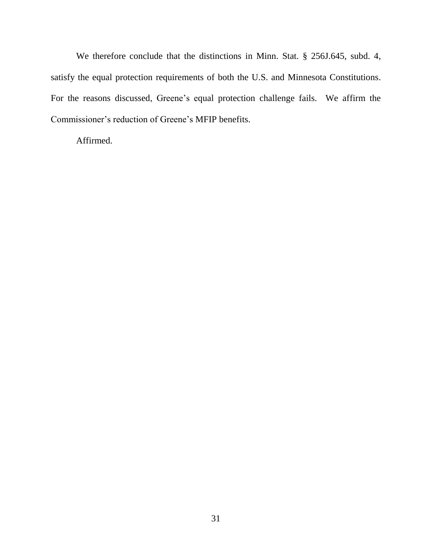We therefore conclude that the distinctions in Minn. Stat. § 256J.645, subd. 4, satisfy the equal protection requirements of both the U.S. and Minnesota Constitutions. For the reasons discussed, Greene"s equal protection challenge fails. We affirm the Commissioner"s reduction of Greene"s MFIP benefits.

Affirmed.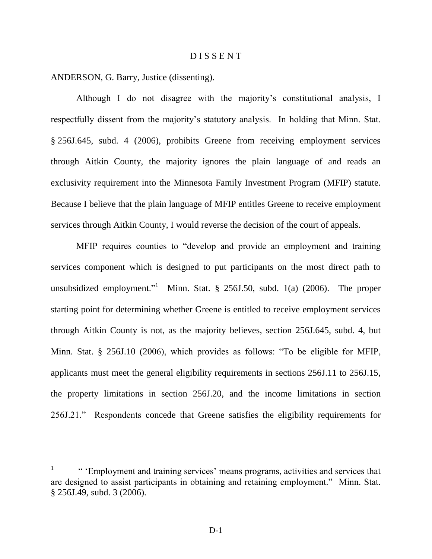#### D I S S E N T

ANDERSON, G. Barry, Justice (dissenting).

 $\overline{a}$ 

Although I do not disagree with the majority"s constitutional analysis, I respectfully dissent from the majority's statutory analysis. In holding that Minn. Stat. § 256J.645, subd. 4 (2006), prohibits Greene from receiving employment services through Aitkin County, the majority ignores the plain language of and reads an exclusivity requirement into the Minnesota Family Investment Program (MFIP) statute. Because I believe that the plain language of MFIP entitles Greene to receive employment services through Aitkin County, I would reverse the decision of the court of appeals.

MFIP requires counties to "develop and provide an employment and training services component which is designed to put participants on the most direct path to unsubsidized employment." Minn. Stat.  $\S$  256J.50, subd. 1(a) (2006). The proper starting point for determining whether Greene is entitled to receive employment services through Aitkin County is not, as the majority believes, section 256J.645, subd. 4, but Minn. Stat. § 256J.10 (2006), which provides as follows: "To be eligible for MFIP, applicants must meet the general eligibility requirements in sections 256J.11 to 256J.15, the property limitations in section 256J.20, and the income limitations in section 256J.21." Respondents concede that Greene satisfies the eligibility requirements for

<sup>1</sup> " "Employment and training services" means programs, activities and services that are designed to assist participants in obtaining and retaining employment." Minn. Stat. § 256J.49, subd. 3 (2006).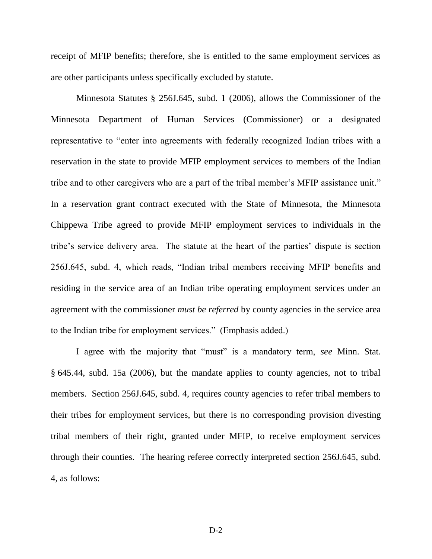receipt of MFIP benefits; therefore, she is entitled to the same employment services as are other participants unless specifically excluded by statute.

Minnesota Statutes § 256J.645, subd. 1 (2006), allows the Commissioner of the Minnesota Department of Human Services (Commissioner) or a designated representative to "enter into agreements with federally recognized Indian tribes with a reservation in the state to provide MFIP employment services to members of the Indian tribe and to other caregivers who are a part of the tribal member"s MFIP assistance unit." In a reservation grant contract executed with the State of Minnesota, the Minnesota Chippewa Tribe agreed to provide MFIP employment services to individuals in the tribe"s service delivery area. The statute at the heart of the parties" dispute is section 256J.645, subd. 4, which reads, "Indian tribal members receiving MFIP benefits and residing in the service area of an Indian tribe operating employment services under an agreement with the commissioner *must be referred* by county agencies in the service area to the Indian tribe for employment services." (Emphasis added.)

I agree with the majority that "must" is a mandatory term, *see* Minn. Stat. § 645.44, subd. 15a (2006), but the mandate applies to county agencies, not to tribal members. Section 256J.645, subd. 4, requires county agencies to refer tribal members to their tribes for employment services, but there is no corresponding provision divesting tribal members of their right, granted under MFIP, to receive employment services through their counties. The hearing referee correctly interpreted section 256J.645, subd. 4, as follows:

D-2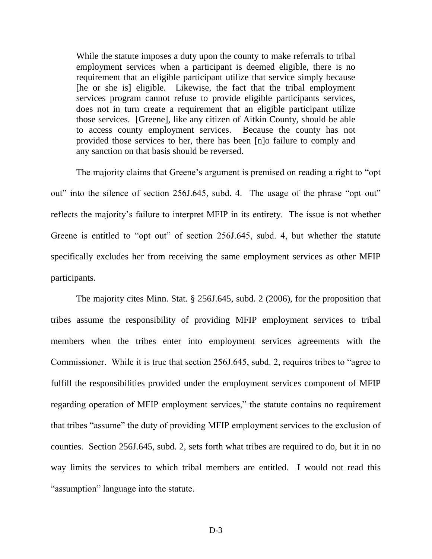While the statute imposes a duty upon the county to make referrals to tribal employment services when a participant is deemed eligible, there is no requirement that an eligible participant utilize that service simply because [he or she is] eligible. Likewise, the fact that the tribal employment services program cannot refuse to provide eligible participants services, does not in turn create a requirement that an eligible participant utilize those services. [Greene], like any citizen of Aitkin County, should be able to access county employment services. Because the county has not provided those services to her, there has been [n]o failure to comply and any sanction on that basis should be reversed.

The majority claims that Greene's argument is premised on reading a right to "opt" out" into the silence of section 256J.645, subd. 4. The usage of the phrase "opt out" reflects the majority"s failure to interpret MFIP in its entirety. The issue is not whether Greene is entitled to "opt out" of section 256J.645, subd. 4, but whether the statute specifically excludes her from receiving the same employment services as other MFIP participants.

The majority cites Minn. Stat. § 256J.645, subd. 2 (2006), for the proposition that tribes assume the responsibility of providing MFIP employment services to tribal members when the tribes enter into employment services agreements with the Commissioner. While it is true that section 256J.645, subd. 2, requires tribes to "agree to fulfill the responsibilities provided under the employment services component of MFIP regarding operation of MFIP employment services," the statute contains no requirement that tribes "assume" the duty of providing MFIP employment services to the exclusion of counties. Section 256J.645, subd. 2, sets forth what tribes are required to do, but it in no way limits the services to which tribal members are entitled. I would not read this "assumption" language into the statute.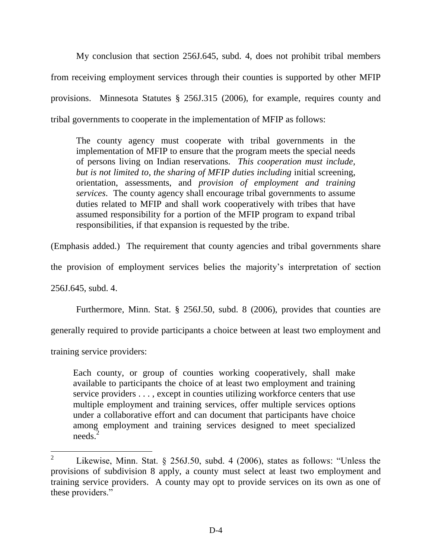My conclusion that section 256J.645, subd. 4, does not prohibit tribal members from receiving employment services through their counties is supported by other MFIP provisions. Minnesota Statutes § 256J.315 (2006), for example, requires county and tribal governments to cooperate in the implementation of MFIP as follows:

The county agency must cooperate with tribal governments in the implementation of MFIP to ensure that the program meets the special needs of persons living on Indian reservations. *This cooperation must include, but is not limited to, the sharing of MFIP duties including* initial screening, orientation, assessments, and *provision of employment and training services*. The county agency shall encourage tribal governments to assume duties related to MFIP and shall work cooperatively with tribes that have assumed responsibility for a portion of the MFIP program to expand tribal responsibilities, if that expansion is requested by the tribe.

(Emphasis added.) The requirement that county agencies and tribal governments share

the provision of employment services belies the majority"s interpretation of section

256J.645, subd. 4.

 $\overline{a}$ 

Furthermore, Minn. Stat. § 256J.50, subd. 8 (2006), provides that counties are

generally required to provide participants a choice between at least two employment and

training service providers:

Each county, or group of counties working cooperatively, shall make available to participants the choice of at least two employment and training service providers . . . , except in counties utilizing workforce centers that use multiple employment and training services, offer multiple services options under a collaborative effort and can document that participants have choice among employment and training services designed to meet specialized  $needs.<sup>2</sup>$ 

<sup>2</sup> Likewise, Minn. Stat. § 256J.50, subd. 4 (2006), states as follows: "Unless the provisions of subdivision 8 apply, a county must select at least two employment and training service providers. A county may opt to provide services on its own as one of these providers."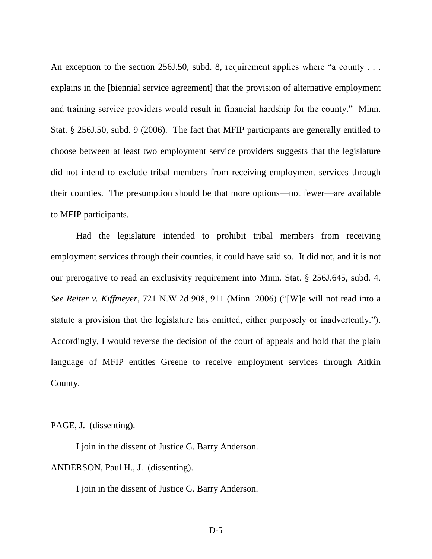An exception to the section 256J.50, subd. 8, requirement applies where "a county . . . explains in the [biennial service agreement] that the provision of alternative employment and training service providers would result in financial hardship for the county." Minn. Stat. § 256J.50, subd. 9 (2006). The fact that MFIP participants are generally entitled to choose between at least two employment service providers suggests that the legislature did not intend to exclude tribal members from receiving employment services through their counties. The presumption should be that more options—not fewer—are available to MFIP participants.

Had the legislature intended to prohibit tribal members from receiving employment services through their counties, it could have said so. It did not, and it is not our prerogative to read an exclusivity requirement into Minn. Stat. § 256J.645, subd. 4. *See Reiter v. Kiffmeyer*, 721 N.W.2d 908, 911 (Minn. 2006) ("[W]e will not read into a statute a provision that the legislature has omitted, either purposely or inadvertently."). Accordingly, I would reverse the decision of the court of appeals and hold that the plain language of MFIP entitles Greene to receive employment services through Aitkin County.

PAGE, J. (dissenting).

I join in the dissent of Justice G. Barry Anderson.

ANDERSON, Paul H., J. (dissenting).

I join in the dissent of Justice G. Barry Anderson.